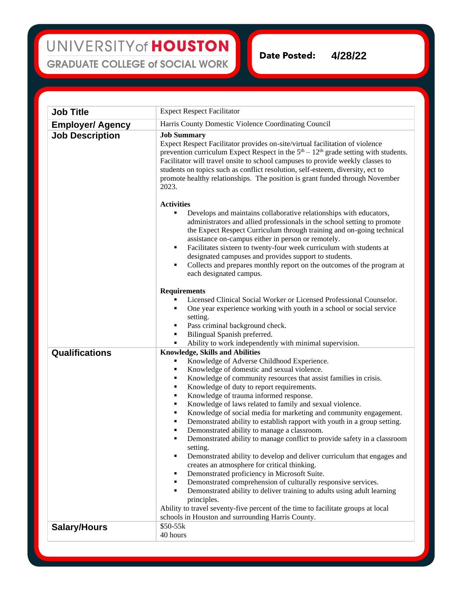## UNIVERSITY of HOUSTON **GRADUATE COLLEGE of SOCIAL WORK**

**Date Posted: 4/28/22**

**Job Title** Expect Respect Facilitator **Employer/ Agency** Harris County Domestic Violence Coordinating Council **Job Description Job Summary** Expect Respect Facilitator provides on-site/virtual facilitation of violence prevention curriculum Expect Respect in the  $5<sup>th</sup> - 12<sup>th</sup>$  grade setting with students. Facilitator will travel onsite to school campuses to provide weekly classes to students on topics such as conflict resolution, self-esteem, diversity, ect to promote healthy relationships. The position is grant funded through November 2023. **Activities** Develops and maintains collaborative relationships with educators, administrators and allied professionals in the school setting to promote the Expect Respect Curriculum through training and on-going technical assistance on-campus either in person or remotely. Facilitates sixteen to twenty-four week curriculum with students at designated campuses and provides support to students. Collects and prepares monthly report on the outcomes of the program at each designated campus. **Requirements** Licensed Clinical Social Worker or Licensed Professional Counselor. One year experience working with youth in a school or social service setting. Pass criminal background check. Bilingual Spanish preferred. Ability to work independently with minimal supervision. **Qualifications Knowledge, Skills and Abilities** Knowledge of Adverse Childhood Experience. Knowledge of domestic and sexual violence. Knowledge of community resources that assist families in crisis. Knowledge of duty to report requirements. Knowledge of trauma informed response. Knowledge of laws related to family and sexual violence. Knowledge of social media for marketing and community engagement. Demonstrated ability to establish rapport with youth in a group setting. Demonstrated ability to manage a classroom. Demonstrated ability to manage conflict to provide safety in a classroom setting. Demonstrated ability to develop and deliver curriculum that engages and creates an atmosphere for critical thinking. Demonstrated proficiency in Microsoft Suite. Demonstrated comprehension of culturally responsive services. Demonstrated ability to deliver training to adults using adult learning principles. Ability to travel seventy-five percent of the time to facilitate groups at local schools in Houston and surrounding Harris County. **Salary/Hours** \$50-55k 40 hours